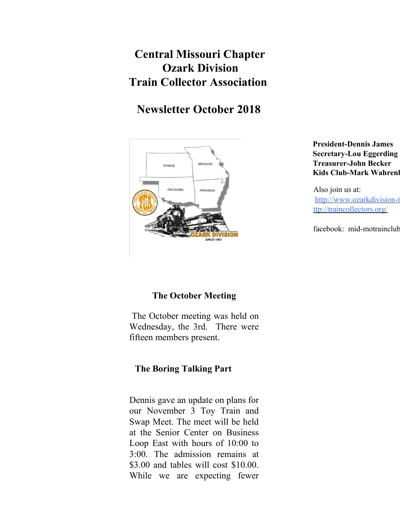# **Central Missouri Chapter Ozark Division Train Collector Association**

# **Newsletter October 2018**



**President-Dennis James Secretary-Lou Eggerding Treasurer-John Becker Kids Club-Mark Wahrenl** 

Also join us at: http://www.ozarkdivision-t ttp://traincollectors.org/

facebook: mid-motrainclub

# **The October Meeting**

 The October meeting was held on Wednesday, the 3rd. There were fifteen members present.

# **The Boring Talking Part**

Dennis gave an update on plans for our November 3 Toy Train and Swap Meet. The meet will be held at the Senior Center on Business Loop East with hours of 10:00 to 3:00. The admission remains at \$3.00 and tables will cost \$10.00. While we are expecting fewer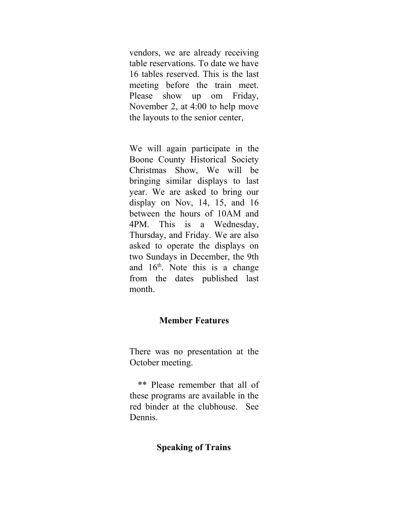vendors, we are already receiving table reservations. To date we have 16 tables reserved. This is the last meeting before the train meet. Please show up om Friday, November 2, at 4:00 to help move the layouts to the senior center,

We will again participate in the Boone County Historical Society Christmas Show, We will be bringing similar displays to last year. We are asked to bring our display on Nov, 14, 15, and 16 between the hours of 10AM and 4PM. This is a Wednesday, Thursday, and Friday. We are also asked to operate the displays on two Sundays in December, the 9th and  $16<sup>th</sup>$ . Note this is a change from the dates published last month.

### **Member Features**

There was no presentation at the October meeting.

 \*\* Please remember that all of these programs are available in the red binder at the clubhouse. See Dennis.

#### **Speaking of Trains**